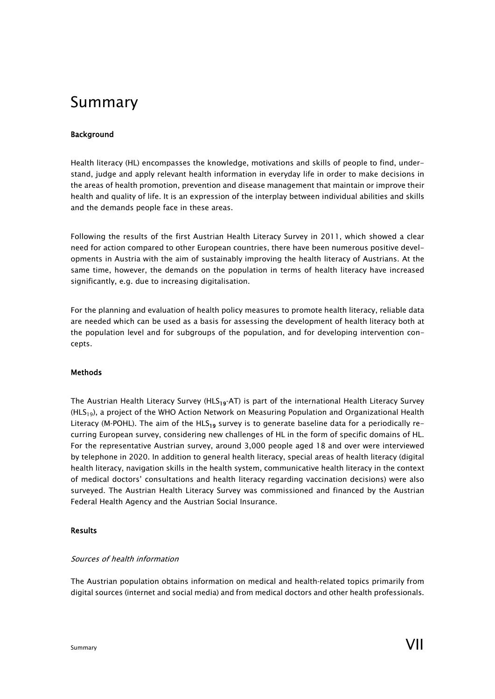# Summary

# Background

Health literacy (HL) encompasses the knowledge, motivations and skills of people to find, understand, judge and apply relevant health information in everyday life in order to make decisions in the areas of health promotion, prevention and disease management that maintain or improve their health and quality of life. It is an expression of the interplay between individual abilities and skills and the demands people face in these areas.

Following the results of the first Austrian Health Literacy Survey in 2011, which showed a clear need for action compared to other European countries, there have been numerous positive developments in Austria with the aim of sustainably improving the health literacy of Austrians. At the same time, however, the demands on the population in terms of health literacy have increased significantly, e.g. due to increasing digitalisation.

For the planning and evaluation of health policy measures to promote health literacy, reliable data are needed which can be used as a basis for assessing the development of health literacy both at the population level and for subgroups of the population, and for developing intervention concepts.

## Methods

The Austrian Health Literacy Survey ( $HLS_{19}$ -AT) is part of the international Health Literacy Survey  $(HLS<sub>19</sub>)$ , a project of the WHO Action Network on Measuring Population and Organizational Health Literacy (M-POHL). The aim of the HLS<sub>19</sub> survey is to generate baseline data for a periodically recurring European survey, considering new challenges of HL in the form of specific domains of HL. For the representative Austrian survey, around 3,000 people aged 18 and over were interviewed by telephone in 2020. In addition to general health literacy, special areas of health literacy (digital health literacy, navigation skills in the health system, communicative health literacy in the context of medical doctors' consultations and health literacy regarding vaccination decisions) were also surveyed. The Austrian Health Literacy Survey was commissioned and financed by the Austrian Federal Health Agency and the Austrian Social Insurance.

## Results

#### Sources of health information

The Austrian population obtains information on medical and health‐related topics primarily from digital sources (internet and social media) and from medical doctors and other health professionals.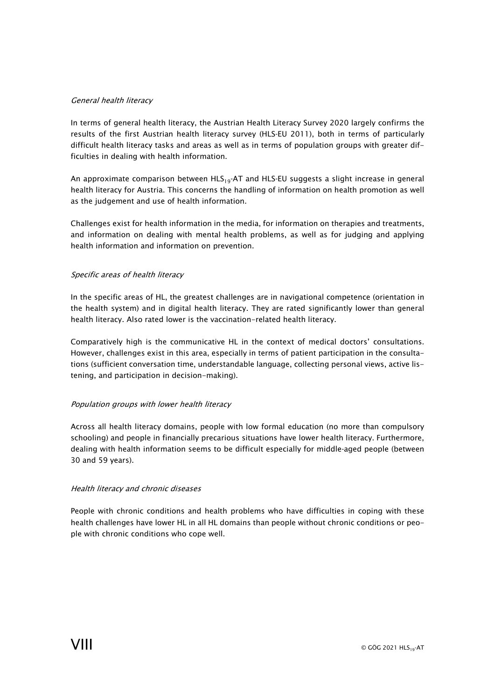## General health literacy

In terms of general health literacy, the Austrian Health Literacy Survey 2020 largely confirms the results of the first Austrian health literacy survey (HLS‐EU 2011), both in terms of particularly difficult health literacy tasks and areas as well as in terms of population groups with greater difficulties in dealing with health information.

An approximate comparison between  $HLS_{19}$ -AT and HLS-EU suggests a slight increase in general health literacy for Austria. This concerns the handling of information on health promotion as well as the judgement and use of health information.

Challenges exist for health information in the media, for information on therapies and treatments, and information on dealing with mental health problems, as well as for judging and applying health information and information on prevention.

## Specific areas of health literacy

In the specific areas of HL, the greatest challenges are in navigational competence (orientation in the health system) and in digital health literacy. They are rated significantly lower than general health literacy. Also rated lower is the vaccination-related health literacy.

Comparatively high is the communicative HL in the context of medical doctors' consultations. However, challenges exist in this area, especially in terms of patient participation in the consultations (sufficient conversation time, understandable language, collecting personal views, active listening, and participation in decision-making).

## Population groups with lower health literacy

Across all health literacy domains, people with low formal education (no more than compulsory schooling) and people in financially precarious situations have lower health literacy. Furthermore, dealing with health information seems to be difficult especially for middle‐aged people (between 30 and 59 years).

#### Health literacy and chronic diseases

People with chronic conditions and health problems who have difficulties in coping with these health challenges have lower HL in all HL domains than people without chronic conditions or people with chronic conditions who cope well.